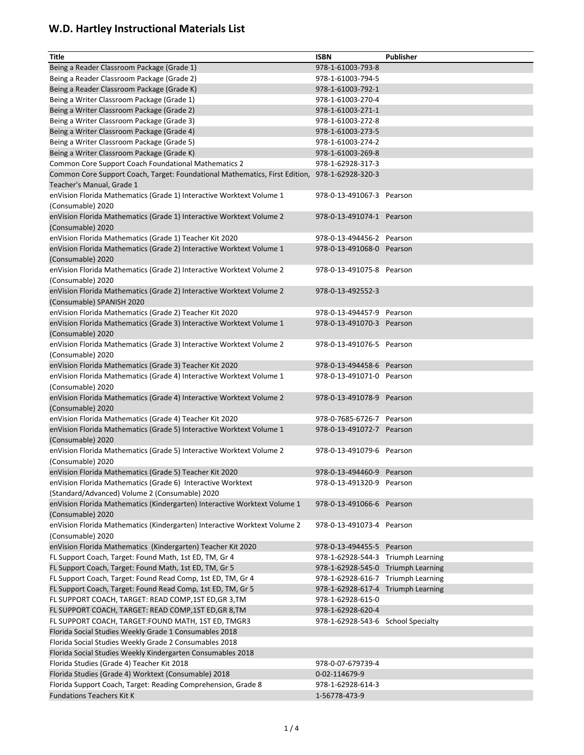| <b>Title</b>                                                                                  | <b>ISBN</b>                        | <b>Publisher</b> |
|-----------------------------------------------------------------------------------------------|------------------------------------|------------------|
| Being a Reader Classroom Package (Grade 1)                                                    | 978-1-61003-793-8                  |                  |
| Being a Reader Classroom Package (Grade 2)                                                    | 978-1-61003-794-5                  |                  |
| Being a Reader Classroom Package (Grade K)                                                    | 978-1-61003-792-1                  |                  |
| Being a Writer Classroom Package (Grade 1)                                                    | 978-1-61003-270-4                  |                  |
| Being a Writer Classroom Package (Grade 2)                                                    | 978-1-61003-271-1                  |                  |
| Being a Writer Classroom Package (Grade 3)                                                    | 978-1-61003-272-8                  |                  |
| Being a Writer Classroom Package (Grade 4)                                                    | 978-1-61003-273-5                  |                  |
| Being a Writer Classroom Package (Grade 5)                                                    | 978-1-61003-274-2                  |                  |
| Being a Writer Classroom Package (Grade K)                                                    | 978-1-61003-269-8                  |                  |
| Common Core Support Coach Foundational Mathematics 2                                          | 978-1-62928-317-3                  |                  |
| Common Core Support Coach, Target: Foundational Mathematics, First Edition, 978-1-62928-320-3 |                                    |                  |
| Teacher's Manual, Grade 1                                                                     |                                    |                  |
| enVision Florida Mathematics (Grade 1) Interactive Worktext Volume 1                          | 978-0-13-491067-3 Pearson          |                  |
| (Consumable) 2020                                                                             |                                    |                  |
| enVision Florida Mathematics (Grade 1) Interactive Worktext Volume 2                          | 978-0-13-491074-1 Pearson          |                  |
| (Consumable) 2020                                                                             |                                    |                  |
| enVision Florida Mathematics (Grade 1) Teacher Kit 2020                                       | 978-0-13-494456-2 Pearson          |                  |
| enVision Florida Mathematics (Grade 2) Interactive Worktext Volume 1                          | 978-0-13-491068-0 Pearson          |                  |
| (Consumable) 2020                                                                             |                                    |                  |
| enVision Florida Mathematics (Grade 2) Interactive Worktext Volume 2                          | 978-0-13-491075-8 Pearson          |                  |
| (Consumable) 2020                                                                             |                                    |                  |
| enVision Florida Mathematics (Grade 2) Interactive Worktext Volume 2                          | 978-0-13-492552-3                  |                  |
| (Consumable) SPANISH 2020                                                                     |                                    |                  |
| enVision Florida Mathematics (Grade 2) Teacher Kit 2020                                       | 978-0-13-494457-9                  | Pearson          |
| enVision Florida Mathematics (Grade 3) Interactive Worktext Volume 1                          | 978-0-13-491070-3 Pearson          |                  |
| (Consumable) 2020                                                                             |                                    |                  |
| enVision Florida Mathematics (Grade 3) Interactive Worktext Volume 2                          | 978-0-13-491076-5 Pearson          |                  |
| (Consumable) 2020                                                                             |                                    |                  |
| enVision Florida Mathematics (Grade 3) Teacher Kit 2020                                       | 978-0-13-494458-6 Pearson          |                  |
| enVision Florida Mathematics (Grade 4) Interactive Worktext Volume 1                          | 978-0-13-491071-0 Pearson          |                  |
| (Consumable) 2020                                                                             |                                    |                  |
| enVision Florida Mathematics (Grade 4) Interactive Worktext Volume 2                          | 978-0-13-491078-9 Pearson          |                  |
| (Consumable) 2020                                                                             |                                    |                  |
| enVision Florida Mathematics (Grade 4) Teacher Kit 2020                                       | 978-0-7685-6726-7 Pearson          |                  |
| enVision Florida Mathematics (Grade 5) Interactive Worktext Volume 1<br>(Consumable) 2020     | 978-0-13-491072-7 Pearson          |                  |
|                                                                                               | 978-0-13-491079-6 Pearson          |                  |
| enVision Florida Mathematics (Grade 5) Interactive Worktext Volume 2<br>(Consumable) 2020     |                                    |                  |
| enVision Florida Mathematics (Grade 5) Teacher Kit 2020                                       | 978-0-13-494460-9 Pearson          |                  |
| enVision Florida Mathematics (Grade 6) Interactive Worktext                                   | 978-0-13-491320-9 Pearson          |                  |
| (Standard/Advanced) Volume 2 (Consumable) 2020                                                |                                    |                  |
| enVision Florida Mathematics (Kindergarten) Interactive Worktext Volume 1                     | 978-0-13-491066-6 Pearson          |                  |
| (Consumable) 2020                                                                             |                                    |                  |
| enVision Florida Mathematics (Kindergarten) Interactive Worktext Volume 2                     | 978-0-13-491073-4 Pearson          |                  |
| (Consumable) 2020                                                                             |                                    |                  |
| enVision Florida Mathematics (Kindergarten) Teacher Kit 2020                                  | 978-0-13-494455-5 Pearson          |                  |
| FL Support Coach, Target: Found Math, 1st ED, TM, Gr 4                                        | 978-1-62928-544-3 Triumph Learning |                  |
| FL Support Coach, Target: Found Math, 1st ED, TM, Gr 5                                        | 978-1-62928-545-0 Triumph Learning |                  |
| FL Support Coach, Target: Found Read Comp, 1st ED, TM, Gr 4                                   | 978-1-62928-616-7 Triumph Learning |                  |
| FL Support Coach, Target: Found Read Comp, 1st ED, TM, Gr 5                                   | 978-1-62928-617-4 Triumph Learning |                  |
| FL SUPPORT COACH, TARGET: READ COMP, 1ST ED, GR 3, TM                                         | 978-1-62928-615-0                  |                  |
| FL SUPPORT COACH, TARGET: READ COMP, 1ST ED, GR 8, TM                                         | 978-1-62928-620-4                  |                  |
| FL SUPPORT COACH, TARGET: FOUND MATH, 1ST ED, TMGR3                                           | 978-1-62928-543-6 School Specialty |                  |
| Florida Social Studies Weekly Grade 1 Consumables 2018                                        |                                    |                  |
| Florida Social Studies Weekly Grade 2 Consumables 2018                                        |                                    |                  |
| Florida Social Studies Weekly Kindergarten Consumables 2018                                   |                                    |                  |
| Florida Studies (Grade 4) Teacher Kit 2018                                                    | 978-0-07-679739-4                  |                  |
| Florida Studies (Grade 4) Worktext (Consumable) 2018                                          | 0-02-114679-9                      |                  |
| Florida Support Coach, Target: Reading Comprehension, Grade 8                                 | 978-1-62928-614-3                  |                  |
| <b>Fundations Teachers Kit K</b>                                                              | 1-56778-473-9                      |                  |
|                                                                                               |                                    |                  |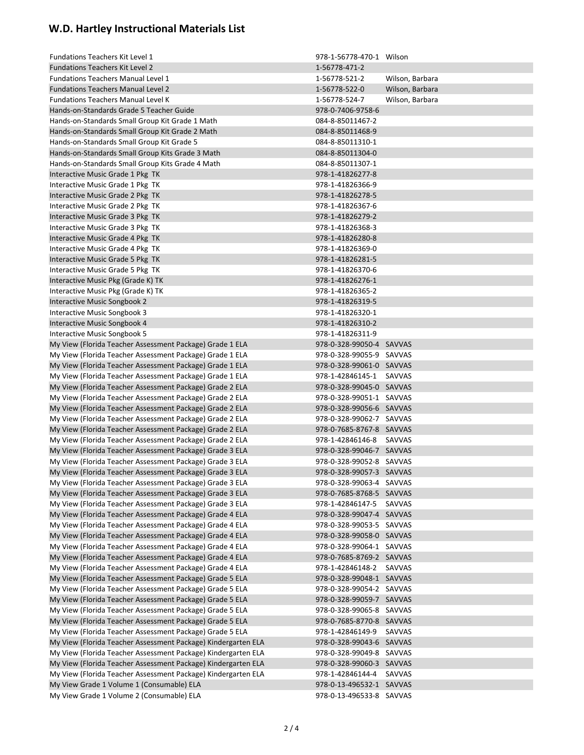| <b>Fundations Teachers Kit Level 1</b>                        | 978-1-56778-470-1 Wilson |                 |
|---------------------------------------------------------------|--------------------------|-----------------|
| <b>Fundations Teachers Kit Level 2</b>                        | 1-56778-471-2            |                 |
| <b>Fundations Teachers Manual Level 1</b>                     | 1-56778-521-2            | Wilson, Barbara |
| <b>Fundations Teachers Manual Level 2</b>                     | 1-56778-522-0            | Wilson, Barbara |
| <b>Fundations Teachers Manual Level K</b>                     | 1-56778-524-7            | Wilson, Barbara |
| Hands-on-Standards Grade 5 Teacher Guide                      | 978-0-7406-9758-6        |                 |
| Hands-on-Standards Small Group Kit Grade 1 Math               | 084-8-85011467-2         |                 |
| Hands-on-Standards Small Group Kit Grade 2 Math               | 084-8-85011468-9         |                 |
| Hands-on-Standards Small Group Kit Grade 5                    | 084-8-85011310-1         |                 |
| Hands-on-Standards Small Group Kits Grade 3 Math              | 084-8-85011304-0         |                 |
| Hands-on-Standards Small Group Kits Grade 4 Math              | 084-8-85011307-1         |                 |
| Interactive Music Grade 1 Pkg TK                              | 978-1-41826277-8         |                 |
| Interactive Music Grade 1 Pkg TK                              | 978-1-41826366-9         |                 |
| Interactive Music Grade 2 Pkg TK                              | 978-1-41826278-5         |                 |
| Interactive Music Grade 2 Pkg TK                              | 978-1-41826367-6         |                 |
| Interactive Music Grade 3 Pkg TK                              | 978-1-41826279-2         |                 |
| Interactive Music Grade 3 Pkg TK                              | 978-1-41826368-3         |                 |
| Interactive Music Grade 4 Pkg TK                              | 978-1-41826280-8         |                 |
| Interactive Music Grade 4 Pkg TK                              | 978-1-41826369-0         |                 |
| Interactive Music Grade 5 Pkg TK                              | 978-1-41826281-5         |                 |
| Interactive Music Grade 5 Pkg TK                              | 978-1-41826370-6         |                 |
| Interactive Music Pkg (Grade K) TK                            | 978-1-41826276-1         |                 |
| Interactive Music Pkg (Grade K) TK                            | 978-1-41826365-2         |                 |
| Interactive Music Songbook 2                                  | 978-1-41826319-5         |                 |
| Interactive Music Songbook 3                                  | 978-1-41826320-1         |                 |
| Interactive Music Songbook 4                                  | 978-1-41826310-2         |                 |
| Interactive Music Songbook 5                                  | 978-1-41826311-9         |                 |
| My View (Florida Teacher Assessment Package) Grade 1 ELA      | 978-0-328-99050-4 SAVVAS |                 |
| My View (Florida Teacher Assessment Package) Grade 1 ELA      | 978-0-328-99055-9 SAVVAS |                 |
| My View (Florida Teacher Assessment Package) Grade 1 ELA      | 978-0-328-99061-0 SAVVAS |                 |
| My View (Florida Teacher Assessment Package) Grade 1 ELA      | 978-1-42846145-1         | SAVVAS          |
| My View (Florida Teacher Assessment Package) Grade 2 ELA      | 978-0-328-99045-0 SAVVAS |                 |
| My View (Florida Teacher Assessment Package) Grade 2 ELA      | 978-0-328-99051-1 SAVVAS |                 |
| My View (Florida Teacher Assessment Package) Grade 2 ELA      | 978-0-328-99056-6 SAVVAS |                 |
| My View (Florida Teacher Assessment Package) Grade 2 ELA      | 978-0-328-99062-7 SAVVAS |                 |
| My View (Florida Teacher Assessment Package) Grade 2 ELA      | 978-0-7685-8767-8 SAVVAS |                 |
| My View (Florida Teacher Assessment Package) Grade 2 ELA      | 978-1-42846146-8         | SAVVAS          |
| My View (Florida Teacher Assessment Package) Grade 3 ELA      | 978-0-328-99046-7 SAVVAS |                 |
| My View (Florida Teacher Assessment Package) Grade 3 ELA      | 978-0-328-99052-8 SAVVAS |                 |
| My View (Florida Teacher Assessment Package) Grade 3 ELA      | 978-0-328-99057-3 SAVVAS |                 |
| My View (Florida Teacher Assessment Package) Grade 3 ELA      | 978-0-328-99063-4 SAVVAS |                 |
| My View (Florida Teacher Assessment Package) Grade 3 ELA      | 978-0-7685-8768-5 SAVVAS |                 |
| My View (Florida Teacher Assessment Package) Grade 3 ELA      | 978-1-42846147-5 SAVVAS  |                 |
| My View (Florida Teacher Assessment Package) Grade 4 ELA      | 978-0-328-99047-4 SAVVAS |                 |
| My View (Florida Teacher Assessment Package) Grade 4 ELA      | 978-0-328-99053-5 SAVVAS |                 |
| My View (Florida Teacher Assessment Package) Grade 4 ELA      | 978-0-328-99058-0 SAVVAS |                 |
| My View (Florida Teacher Assessment Package) Grade 4 ELA      | 978-0-328-99064-1 SAVVAS |                 |
| My View (Florida Teacher Assessment Package) Grade 4 ELA      | 978-0-7685-8769-2 SAVVAS |                 |
| My View (Florida Teacher Assessment Package) Grade 4 ELA      | 978-1-42846148-2         | SAVVAS          |
| My View (Florida Teacher Assessment Package) Grade 5 ELA      | 978-0-328-99048-1 SAVVAS |                 |
| My View (Florida Teacher Assessment Package) Grade 5 ELA      | 978-0-328-99054-2 SAVVAS |                 |
| My View (Florida Teacher Assessment Package) Grade 5 ELA      | 978-0-328-99059-7 SAVVAS |                 |
| My View (Florida Teacher Assessment Package) Grade 5 ELA      | 978-0-328-99065-8 SAVVAS |                 |
| My View (Florida Teacher Assessment Package) Grade 5 ELA      | 978-0-7685-8770-8 SAVVAS |                 |
| My View (Florida Teacher Assessment Package) Grade 5 ELA      | 978-1-42846149-9         | SAVVAS          |
| My View (Florida Teacher Assessment Package) Kindergarten ELA | 978-0-328-99043-6 SAVVAS |                 |
| My View (Florida Teacher Assessment Package) Kindergarten ELA | 978-0-328-99049-8 SAVVAS |                 |
| My View (Florida Teacher Assessment Package) Kindergarten ELA | 978-0-328-99060-3 SAVVAS |                 |
| My View (Florida Teacher Assessment Package) Kindergarten ELA | 978-1-42846144-4         | SAVVAS          |
| My View Grade 1 Volume 1 (Consumable) ELA                     | 978-0-13-496532-1 SAVVAS |                 |
| My View Grade 1 Volume 2 (Consumable) ELA                     | 978-0-13-496533-8 SAVVAS |                 |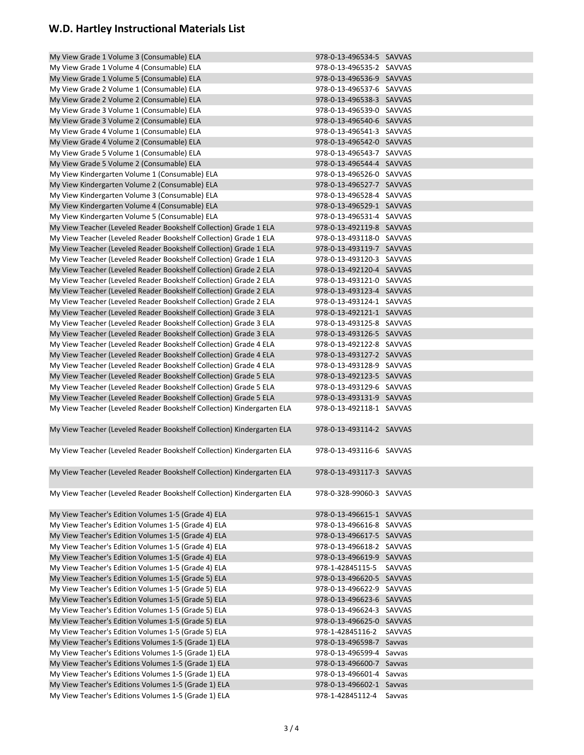| My View Grade 1 Volume 3 (Consumable) ELA                              | 978-0-13-496534-5 SAVVAS |        |
|------------------------------------------------------------------------|--------------------------|--------|
| My View Grade 1 Volume 4 (Consumable) ELA                              | 978-0-13-496535-2 SAVVAS |        |
| My View Grade 1 Volume 5 (Consumable) ELA                              | 978-0-13-496536-9 SAVVAS |        |
| My View Grade 2 Volume 1 (Consumable) ELA                              | 978-0-13-496537-6 SAVVAS |        |
| My View Grade 2 Volume 2 (Consumable) ELA                              | 978-0-13-496538-3 SAVVAS |        |
| My View Grade 3 Volume 1 (Consumable) ELA                              | 978-0-13-496539-0 SAVVAS |        |
| My View Grade 3 Volume 2 (Consumable) ELA                              | 978-0-13-496540-6 SAVVAS |        |
| My View Grade 4 Volume 1 (Consumable) ELA                              | 978-0-13-496541-3 SAVVAS |        |
| My View Grade 4 Volume 2 (Consumable) ELA                              | 978-0-13-496542-0 SAVVAS |        |
| My View Grade 5 Volume 1 (Consumable) ELA                              | 978-0-13-496543-7 SAVVAS |        |
| My View Grade 5 Volume 2 (Consumable) ELA                              | 978-0-13-496544-4 SAVVAS |        |
| My View Kindergarten Volume 1 (Consumable) ELA                         | 978-0-13-496526-0 SAVVAS |        |
| My View Kindergarten Volume 2 (Consumable) ELA                         | 978-0-13-496527-7 SAVVAS |        |
| My View Kindergarten Volume 3 (Consumable) ELA                         | 978-0-13-496528-4 SAVVAS |        |
| My View Kindergarten Volume 4 (Consumable) ELA                         | 978-0-13-496529-1 SAVVAS |        |
| My View Kindergarten Volume 5 (Consumable) ELA                         | 978-0-13-496531-4 SAVVAS |        |
| My View Teacher (Leveled Reader Bookshelf Collection) Grade 1 ELA      | 978-0-13-492119-8 SAVVAS |        |
| My View Teacher (Leveled Reader Bookshelf Collection) Grade 1 ELA      | 978-0-13-493118-0 SAVVAS |        |
|                                                                        | 978-0-13-493119-7 SAVVAS |        |
| My View Teacher (Leveled Reader Bookshelf Collection) Grade 1 ELA      |                          |        |
| My View Teacher (Leveled Reader Bookshelf Collection) Grade 1 ELA      | 978-0-13-493120-3 SAVVAS |        |
| My View Teacher (Leveled Reader Bookshelf Collection) Grade 2 ELA      | 978-0-13-492120-4 SAVVAS |        |
| My View Teacher (Leveled Reader Bookshelf Collection) Grade 2 ELA      | 978-0-13-493121-0 SAVVAS |        |
| My View Teacher (Leveled Reader Bookshelf Collection) Grade 2 ELA      | 978-0-13-493123-4 SAVVAS |        |
| My View Teacher (Leveled Reader Bookshelf Collection) Grade 2 ELA      | 978-0-13-493124-1 SAVVAS |        |
| My View Teacher (Leveled Reader Bookshelf Collection) Grade 3 ELA      | 978-0-13-492121-1 SAVVAS |        |
| My View Teacher (Leveled Reader Bookshelf Collection) Grade 3 ELA      | 978-0-13-493125-8 SAVVAS |        |
| My View Teacher (Leveled Reader Bookshelf Collection) Grade 3 ELA      | 978-0-13-493126-5 SAVVAS |        |
| My View Teacher (Leveled Reader Bookshelf Collection) Grade 4 ELA      | 978-0-13-492122-8 SAVVAS |        |
| My View Teacher (Leveled Reader Bookshelf Collection) Grade 4 ELA      | 978-0-13-493127-2 SAVVAS |        |
| My View Teacher (Leveled Reader Bookshelf Collection) Grade 4 ELA      | 978-0-13-493128-9 SAVVAS |        |
| My View Teacher (Leveled Reader Bookshelf Collection) Grade 5 ELA      | 978-0-13-492123-5 SAVVAS |        |
| My View Teacher (Leveled Reader Bookshelf Collection) Grade 5 ELA      | 978-0-13-493129-6 SAVVAS |        |
| My View Teacher (Leveled Reader Bookshelf Collection) Grade 5 ELA      | 978-0-13-493131-9 SAVVAS |        |
| My View Teacher (Leveled Reader Bookshelf Collection) Kindergarten ELA | 978-0-13-492118-1 SAVVAS |        |
|                                                                        |                          |        |
| My View Teacher (Leveled Reader Bookshelf Collection) Kindergarten ELA | 978-0-13-493114-2 SAVVAS |        |
|                                                                        |                          |        |
| My View Teacher (Leveled Reader Bookshelf Collection) Kindergarten ELA | 978-0-13-493116-6 SAVVAS |        |
| My View Teacher (Leveled Reader Bookshelf Collection) Kindergarten ELA | 978-0-13-493117-3 SAVVAS |        |
|                                                                        |                          |        |
| My View Teacher (Leveled Reader Bookshelf Collection) Kindergarten ELA | 978-0-328-99060-3 SAVVAS |        |
|                                                                        |                          |        |
| My View Teacher's Edition Volumes 1-5 (Grade 4) ELA                    | 978-0-13-496615-1 SAVVAS |        |
| My View Teacher's Edition Volumes 1-5 (Grade 4) ELA                    | 978-0-13-496616-8 SAVVAS |        |
| My View Teacher's Edition Volumes 1-5 (Grade 4) ELA                    | 978-0-13-496617-5 SAVVAS |        |
| My View Teacher's Edition Volumes 1-5 (Grade 4) ELA                    | 978-0-13-496618-2 SAVVAS |        |
|                                                                        |                          |        |
| My View Teacher's Edition Volumes 1-5 (Grade 4) ELA                    | 978-0-13-496619-9 SAVVAS |        |
| My View Teacher's Edition Volumes 1-5 (Grade 4) ELA                    | 978-1-42845115-5 SAVVAS  |        |
| My View Teacher's Edition Volumes 1-5 (Grade 5) ELA                    | 978-0-13-496620-5 SAVVAS |        |
| My View Teacher's Edition Volumes 1-5 (Grade 5) ELA                    | 978-0-13-496622-9 SAVVAS |        |
| My View Teacher's Edition Volumes 1-5 (Grade 5) ELA                    | 978-0-13-496623-6 SAVVAS |        |
| My View Teacher's Edition Volumes 1-5 (Grade 5) ELA                    | 978-0-13-496624-3 SAVVAS |        |
| My View Teacher's Edition Volumes 1-5 (Grade 5) ELA                    | 978-0-13-496625-0 SAVVAS |        |
| My View Teacher's Edition Volumes 1-5 (Grade 5) ELA                    | 978-1-42845116-2 SAVVAS  |        |
| My View Teacher's Editions Volumes 1-5 (Grade 1) ELA                   | 978-0-13-496598-7 Savvas |        |
| My View Teacher's Editions Volumes 1-5 (Grade 1) ELA                   | 978-0-13-496599-4 Savvas |        |
| My View Teacher's Editions Volumes 1-5 (Grade 1) ELA                   | 978-0-13-496600-7 Savvas |        |
| My View Teacher's Editions Volumes 1-5 (Grade 1) ELA                   | 978-0-13-496601-4 Savvas |        |
| My View Teacher's Editions Volumes 1-5 (Grade 1) ELA                   | 978-0-13-496602-1 Savvas |        |
| My View Teacher's Editions Volumes 1-5 (Grade 1) ELA                   | 978-1-42845112-4         | Savvas |